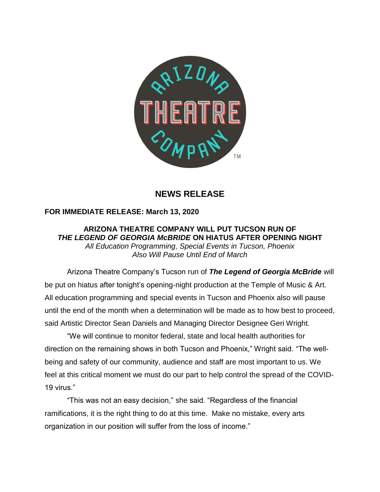

## **NEWS RELEASE**

## **FOR IMMEDIATE RELEASE: March 13, 2020**

**ARIZONA THEATRE COMPANY WILL PUT TUCSON RUN OF** *THE LEGEND OF GEORGIA McBRIDE* **ON HIATUS AFTER OPENING NIGHT** *All Education Programming, Special Events in Tucson, Phoenix Also Will Pause Until End of March*

Arizona Theatre Company's Tucson run of *The Legend of Georgia McBride* will be put on hiatus after tonight's opening-night production at the Temple of Music & Art. All education programming and special events in Tucson and Phoenix also will pause until the end of the month when a determination will be made as to how best to proceed, said Artistic Director Sean Daniels and Managing Director Designee Geri Wright.

"We will continue to monitor federal, state and local health authorities for direction on the remaining shows in both Tucson and Phoenix," Wright said. "The wellbeing and safety of our community, audience and staff are most important to us. We feel at this critical moment we must do our part to help control the spread of the COVID-19 virus."

"This was not an easy decision," she said. "Regardless of the financial ramifications, it is the right thing to do at this time. Make no mistake, every arts organization in our position will suffer from the loss of income."